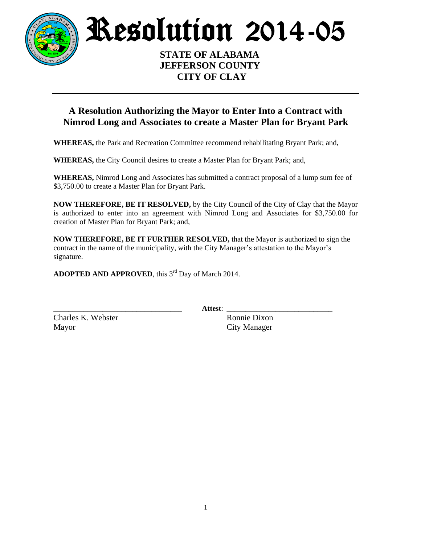

Resolution 2014-05

 **STATE OF ALABAMA JEFFERSON COUNTY CITY OF CLAY**

## **A Resolution Authorizing the Mayor to Enter Into a Contract with Nimrod Long and Associates to create a Master Plan for Bryant Park**

**WHEREAS,** the Park and Recreation Committee recommend rehabilitating Bryant Park; and,

**WHEREAS,** the City Council desires to create a Master Plan for Bryant Park; and,

**WHEREAS,** Nimrod Long and Associates has submitted a contract proposal of a lump sum fee of \$3,750.00 to create a Master Plan for Bryant Park.

**NOW THEREFORE, BE IT RESOLVED,** by the City Council of the City of Clay that the Mayor is authorized to enter into an agreement with Nimrod Long and Associates for \$3,750.00 for creation of Master Plan for Bryant Park; and,

**NOW THEREFORE, BE IT FURTHER RESOLVED,** that the Mayor is authorized to sign the contract in the name of the municipality, with the City Manager's attestation to the Mayor's signature.

ADOPTED AND APPROVED, this 3<sup>rd</sup> Day of March 2014.

\_\_\_\_\_\_\_\_\_\_\_\_\_\_\_\_\_\_\_\_\_\_\_\_\_\_\_\_\_\_\_\_\_\_ **Attest**: \_\_\_\_\_\_\_\_\_\_\_\_\_\_\_\_\_\_\_\_\_\_\_\_\_\_\_\_

Charles K. Webster Ronnie Dixon Mayor City Manager